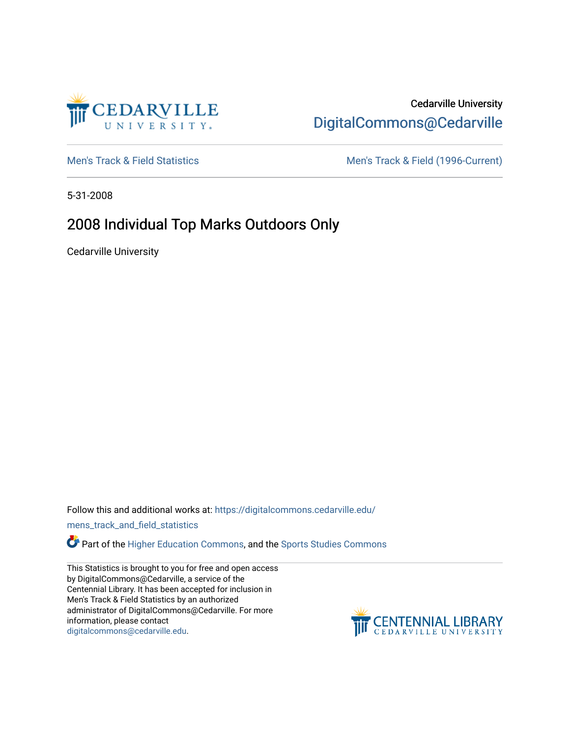

## Cedarville University [DigitalCommons@Cedarville](https://digitalcommons.cedarville.edu/)

[Men's Track & Field Statistics](https://digitalcommons.cedarville.edu/mens_track_and_field_statistics) [Men's Track & Field \(1996-Current\)](https://digitalcommons.cedarville.edu/mens_track_and_field) 

5-31-2008

## 2008 Individual Top Marks Outdoors Only

Cedarville University

Follow this and additional works at: [https://digitalcommons.cedarville.edu/](https://digitalcommons.cedarville.edu/mens_track_and_field_statistics?utm_source=digitalcommons.cedarville.edu%2Fmens_track_and_field_statistics%2F194&utm_medium=PDF&utm_campaign=PDFCoverPages)

[mens\\_track\\_and\\_field\\_statistics](https://digitalcommons.cedarville.edu/mens_track_and_field_statistics?utm_source=digitalcommons.cedarville.edu%2Fmens_track_and_field_statistics%2F194&utm_medium=PDF&utm_campaign=PDFCoverPages)

**Part of the [Higher Education Commons,](http://network.bepress.com/hgg/discipline/1245?utm_source=digitalcommons.cedarville.edu%2Fmens_track_and_field_statistics%2F194&utm_medium=PDF&utm_campaign=PDFCoverPages) and the Sports Studies Commons** 

This Statistics is brought to you for free and open access by DigitalCommons@Cedarville, a service of the Centennial Library. It has been accepted for inclusion in Men's Track & Field Statistics by an authorized administrator of DigitalCommons@Cedarville. For more information, please contact [digitalcommons@cedarville.edu](mailto:digitalcommons@cedarville.edu).

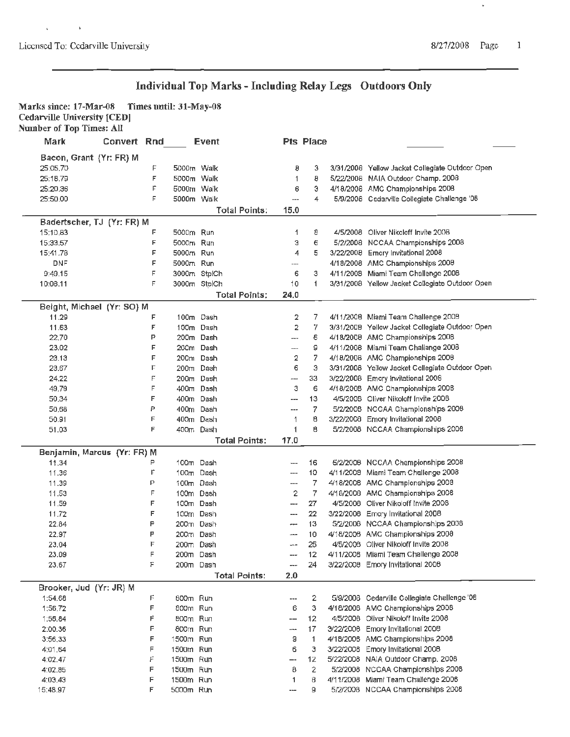$\chi$  ,  $\chi$  ,  $\chi$  ,  $\chi$ 

 $\hat{\mathbf{v}}$ 

### **Individual Top Marks** - **Including Relay Legs Outdoors Only**

Marks since: 17-Mar-08 **Times until: 31-May-08** Cedarville University **[CED)** 

| <b>Number of Top Times: All</b> |  |  |  |
|---------------------------------|--|--|--|
|---------------------------------|--|--|--|

| Mark                        | <b>Convert Rnd</b> |    |            | <b>Event</b>         |                          | Pts Place    |                                                 |
|-----------------------------|--------------------|----|------------|----------------------|--------------------------|--------------|-------------------------------------------------|
| Bacon, Grant (Yr: FR) M     |                    |    |            |                      |                          |              |                                                 |
| 25:05.70                    |                    | F  |            | 5000m Walk           | 8                        | з            | 3/31/2008 Yellow Jacket Collegiate Outdoor Open |
| 25:18.79                    |                    | F  |            | 5000m Walk           | 1                        | 8            | 5/22/2008 NAIA Outdoor Champ. 2008              |
| 25:20.36                    |                    | F  | 5000m Walk |                      | 6                        | э            | 4/18/2008 AMC Championships 2008                |
| 25:50.00                    |                    | Е  | 5000m Walk |                      | ---                      | 4            | 5/9/2008 Cedarville Collegiate Challenge '08    |
|                             |                    |    |            | Total Points:        | 15.0                     |              |                                                 |
|                             |                    |    |            |                      |                          |              |                                                 |
| Badertscher, TJ (Yr: FR) M  |                    |    |            |                      |                          |              |                                                 |
| 15:10.83                    |                    | F  | 5000m Run  |                      | 1                        | 8            | 4/5/2008 Oliver Nikoloff Invite 2008            |
| 15:33.57                    |                    | F  | 5000m Run  |                      | Э                        | 6            | 5/2/2008 NCCAA Championships 2008               |
| 15:41.78                    |                    | F  | 5000m Run  |                      | 4                        | 5            | 3/22/2008 Emory Invitational 2008               |
| <b>DNF</b>                  |                    | F  | 5000m Run  |                      | ---                      |              | 4/18/2008 AMC Championships 2008                |
| 9:49.15                     |                    | F  |            | 3000m StplCh         | 6                        | з            | 4/11/2008 Miami Team Challenge 2008             |
| 10:08.11                    |                    | F  |            | 3000m StplCh         | 10                       | 1            | 3/31/2008 Yellow Jacket Collegiate Outdoor Open |
|                             |                    |    |            | <b>Total Points:</b> | 24.0                     |              |                                                 |
| Beight, Michael (Yr: SO) M  |                    |    |            |                      |                          |              |                                                 |
| 11.29                       |                    | F  |            | 100m Dash            | 2                        | 7            | 4/11/2008 Miami Team Challenge 2008             |
| 11.63                       |                    | F  |            | 100m Dash            | 2                        | 7            | 3/31/2008 Yellow Jacket Collegiate Outdoor Open |
| 22,70                       |                    | Р  |            | 200m Dash            | ---                      | 6            | 4/18/2008 AMC Championships 2008                |
| 23.02                       |                    | F  |            | 200m Dash            | ---                      | 9            | 4/11/2008 Miami Team Challange 2008             |
| 23.13                       |                    | F  |            | 200m Dash            | 2                        | 7            | 4/18/2008 AMC Championships 2008                |
| 23.67                       |                    | F  |            | 200m Dash            | 6                        | з            | 3/31/2008 Yellow Jacket Collegiate Outdoor Open |
| 24.22                       |                    | F  |            | 200m Dash            | ---                      | 33           | 3/22/2008 Emory Invitational 2008               |
| 49.79                       |                    | F  |            | 400m Dash            | 3                        | 6            | 4/18/2008 AMC Championships 2008                |
| 50,34                       |                    | F  |            | 400m Dash            | ---                      | 13           | 4/5/2008 Oliver Nikoloff Invite 2008            |
| 50,68                       |                    | P  |            | 400m Dash            | ---                      | 7            | 5/2/2008 NCCAA Championships 2008               |
| 50.91                       |                    | F  |            | 400m Dash            | 1                        | в            | 3/22/2008 Emory Invitational 2008               |
| 51.03                       |                    | E  |            | 400m Dash            | 1                        | 8            | 5/2/2008 NCCAA Championships 2008               |
|                             |                    |    |            | <b>Total Points:</b> | 17.0                     |              |                                                 |
| Benjamin, Marcus (Yr: FR) M |                    |    |            |                      |                          |              |                                                 |
| 11,34                       |                    | P  |            | 100m Dash            | ---                      | 16           | 5/2/2008 NCCAA Championships 2008               |
| 11.36                       |                    | F  |            | 100m Dash            | $---$                    | 10           | 4/11/2008 Miami Team Challenge 2008             |
| 11.39                       |                    | P  |            | 100m Dash            | ---                      | 7            | 4/18/2008 AMC Championships 2008                |
| 11.53                       |                    | F  |            | 100m Dash            | 2                        | 7            | 4/18/2008 AMC Championships 2008                |
| 11.59                       |                    | F  |            | 100m Dash            | $\overline{\phantom{a}}$ | 27           | 4/5/2008 Oliver Nikoloff Invite 2008            |
| 11.72                       |                    | F  |            | 100m Dash            | $---$                    | 22           | 3/22/2008 Emory Invitational 2008               |
| 22.84                       |                    | P  |            | 200m Dash            | ---                      | 13           | 5/2/2008 NCCAA Championships 2008               |
| 22.97                       |                    | P  |            | 200m Dash            | $\overline{a}$           | 10           | 4/18/2008 AMC Championships 2008                |
| 23.04                       |                    | F  |            | 200m Dash            | ---                      | 25           | 4/5/2008 Oliver Nikoloff Invite 2008            |
| 23.09                       |                    |    | 200m Dash  |                      | ---                      | 12           | 4/11/2008 Miami Team Challenge 2008             |
| 23.67                       |                    | F  | 200m Dash  |                      | ---                      | 24           | 3/22/2008 Emory Invitational 2008               |
|                             |                    |    |            | <b>Total Points:</b> | 2.0                      |              |                                                 |
| Brooker, Jud (Yr: JR) M     |                    |    |            |                      |                          |              |                                                 |
| 1:54.68                     |                    | F. | 800m Run   |                      | ---                      | 2            | 5/9/2008 Cedarville Collegiate Challenge '08    |
| 1:56.72                     |                    | F  | 800m Run   |                      | 6                        | 3            | 4/18/2008 AMC Championships 2008                |
| 1:56.84                     |                    | Ë  | B00m Run   |                      | --                       | 12           | 4/5/2008 Oliver Nikoloff Invite 2008            |
| 2:00.36                     |                    | F  | 800m Run   |                      | ---                      | 17           | 3/22/2008 Emory Invitational 2008               |
| 3:56,33                     |                    | F  | 1500m Run  |                      | 9                        | $\mathbf{1}$ | 4/18/2008 AMC Championships 2008                |
| 4:01.64                     |                    | F  | 1500m Run  |                      | 6                        | з            | 3/22/2008 Emory Invitational 2008               |
| 4:02.47                     |                    | F  | 1500m Run  |                      | —-                       | 12           | 5/22/2008 NAIA Outdoor Champ. 2008              |
| 4:02.85                     |                    | F  | 1500m Run  |                      | 8                        | $\mathbf{2}$ | 5/2/2008 NCCAA Championships 2008               |
| 4:03.43                     |                    | F  | 1500m Run  |                      | 1                        | 8            | 4/11/2008 Miami Team Challenge 2008             |
| 15:48.97                    |                    | F  | 5000m Run  |                      | ---                      | 9            | 5/2/2008 NCCAA Championships 2008               |
|                             |                    |    |            |                      |                          |              |                                                 |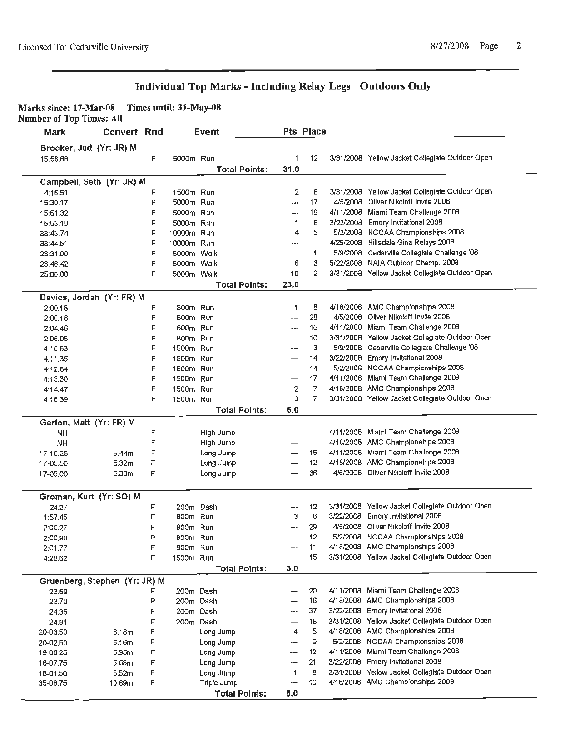### **Individual Top Marks** - **Including Relay Legs Outdoors Only**

**Marks since: l 7-Mar-08 Times until: 31-May-08** 

**Number of Top Times: All** 

| Mark                          | Convert Rnd |   |            | Event                |      | <b>Pts Place</b> |           |                                                 |
|-------------------------------|-------------|---|------------|----------------------|------|------------------|-----------|-------------------------------------------------|
| Brooker, Jud (Yr: JR) M       |             |   |            |                      |      |                  |           |                                                 |
| 15:58.88                      |             | F | 5000m Run  |                      | 1    | 12               |           | 3/31/2008 Yellow Jacket Collegiate Outdoor Open |
|                               |             |   |            | <b>Total Points:</b> | 31.0 |                  |           |                                                 |
| Campbell, Seth (Yr: JR) M     |             |   |            |                      |      |                  |           |                                                 |
| 4:16.51                       |             | ۶ | 1500m Run  |                      | 2    | 8                |           | 3/31/2008 Yellow Jacket Collegiate Outdoor Open |
| 15:30.17                      |             | F | 5000m Run  |                      | ---  | 17               |           | 4/5/2008 Oliver Nikoloff Invite 2008            |
| 15:51.32                      |             | F | 5000m Run  |                      | ---  | 19               |           | 4/11/2008 Miami Team Challenge 2008             |
| 15:53.19                      |             | F | 5000m Run  |                      | 1    | 8                |           | 3/22/2008 Emory Invitational 2008               |
| 33:43.74                      |             | F | 10000m Run |                      | 4    | 5                |           | 5/2/2008 NCCAA Championships 2008               |
| 33:44.51                      |             | F | 10000m Run |                      | ---  |                  |           | 4/25/2008 Hillsdale Gina Relays 2008            |
| 23:31.00                      |             | F | 5000m Walk |                      | ---  | 1                |           | 5/9/2008 Cedarville Collegiate Challenge '08    |
| 23:46.42                      |             | F | 5000m Walk |                      | 6    | 3                |           | 5/22/2008 NAIA Outdoor Champ. 2008              |
| 25:00.00                      |             | F | 5000m Walk |                      | 10   | $\overline{2}$   |           | 3/31/2008 Yellow Jacket Collegiate Outdoor Open |
|                               |             |   |            | <b>Total Points:</b> | 23.0 |                  |           |                                                 |
| Davies, Jordan (Yr: FR) M     |             |   |            |                      |      |                  |           |                                                 |
| 2:00.18                       |             | F | 800m Run   |                      | 1    | 8                |           | 4/18/2008 AMC Championships 2008                |
| 2:00.18                       |             | F | 800m Run   |                      | ---  | 28               | 4/5/2008  | Oliver Nikoloff Invite 2008                     |
| 2:04.46                       |             | F | $800m$ Run |                      | ---  | 15               |           | 4/11/2008 Miami Team Challenge 2008             |
| 2:06.05                       |             | F | 800m Run   |                      | ---  | 10               |           | 3/31/2008 Yellow Jacket Collegiate Outdoor Open |
| 4:10.63                       |             | F | 1500m Run  |                      | ---  | э                |           | 5/9/2008 Cedarville Collegiate Challenge '08    |
| 4:11.35                       |             | F | 1500m Run  |                      | --   | 14               |           | 3/22/2008 Emory Invitational 2008               |
| 4:12.84                       |             | F | 1500m Run  |                      | ---  | 14               |           | 5/2/2008 NCCAA Championships 2008               |
| 4:13.30                       |             | F | 1500m Run  |                      | --   | 17               |           | 4/11/2008 Miami Team Challenge 2008             |
| 4:14.47                       |             | F | 1500m Run  |                      | 2    | 7                |           | 4/18/2008 AMC Championships 2008                |
| 4:16.39                       |             | F | 1500m Run  |                      | э    | 7                |           | 3/31/2008 Yellow Jacket Collegiate Outdoor Open |
|                               |             |   |            | <b>Total Points:</b> | 6,0  |                  |           |                                                 |
| Gerton, Matt (Yr: FR) M       |             |   |            |                      |      |                  |           |                                                 |
| NH                            |             | F |            | High Jump            | ---  |                  |           | 4/11/2008 Miami Team Challenge 2008             |
| <b>NH</b>                     |             | F |            | High Jump            |      |                  |           | 4/18/2008 AMC Championships 2008                |
| 17-10.25                      | 5.44m       | F |            | Long Jump            | ---  | 15               |           | 4/11/2008 Miami Team Challenge 2008             |
| 17-05.50                      | 5.32m       | F |            | Long Jump            | ---  | 12               |           | 4/18/2008 AMC Championships 2008                |
| 17-05.00                      | 5.30m       | F |            | Long Jump            |      | 36               |           | 4/5/2008 Oliver Nikoloff Invite 2008            |
| Groman, Kurt (Yr: SO) M       |             |   |            |                      |      |                  |           |                                                 |
| 24.27                         |             | F | 200m Dash  |                      | ---  | 12               |           | 3/31/2008 Yellow Jacket Collegiate Outdoor Open |
| 1:57.45                       |             | F | 800m Run   |                      | з    | 6                | 3/22/2008 | Ernory Invitational 2008                        |
| 2:00.27                       |             | F | 600m Run   |                      | ---  | 29               |           | 4/5/2008 Oliver Nikoloff Invite 2008            |
| 2:00,90                       |             | P | 600m Run   |                      | ---  | 12               |           | 5/2/2008 NCCAA Championships 2008               |
| 2:01.77                       |             | F | 800m Run   |                      |      | 11               |           | 4/18/2008 AMC Championships 2008                |
| 4:28.62                       |             | F | 1500m Run  |                      |      | 15               |           | 3/31/2008 Yellow Jacket Collegiate Outdoor Open |
|                               |             |   |            | <b>Total Points:</b> | 3.0  |                  |           |                                                 |
| Gruenberg, Stephen (Yr: JR) M |             |   |            |                      |      |                  |           |                                                 |
| 23.69                         |             | F | 200m Dash  |                      |      | 20               |           | 4/11/2008 Miami Team Challenge 2008             |
| 23,70                         |             | P | 200m Dash  |                      | ---  | 16               |           | 4/18/2008 AMC Championships 2008                |
| 24.35                         |             | F | 200m Dash  |                      | ---  | 37               |           | 3/22/2008 Emory Invitational 2008               |
| 24.91                         |             | F | 200m Dash  |                      | مسم  | 18               |           | 3/31/2008 Yellow Jacket Collegiate Outdoor Open |
| 20-03.50                      | 6.18m       | F |            | Long Jump            | 4    | 5                | 4/18/2008 | AMC Championships 2008                          |
| 20-02.50                      | 6.16m       | F |            | Long Jump            | ---  | 9                | 5/2/2008  | <b>NCCAA Championships 2008</b>                 |
| 19-06.25                      | 5.95m       | F |            | Long Jump            | ---  | 12               |           | 4/11/2008 Miami Team Challenge 2008             |
| 18-07.75                      | 5.68m       | F |            | Long Jump            | ---  | 21               | 3/22/2008 | Emory Invitational 2008                         |
| 18-01.50                      | 5.52m       | F |            | Long Jump            | 1    | 8                | 3/31/2008 | Yellow Jacket Collegiate Outdoor Open           |
| 35-08.75                      | 10.89m      | F |            | Triple Jump          | ---  | 10               |           | 4/18/2008 AMC Championships 2008                |
|                               |             |   |            | <b>Total Points:</b> | 5.0  |                  |           |                                                 |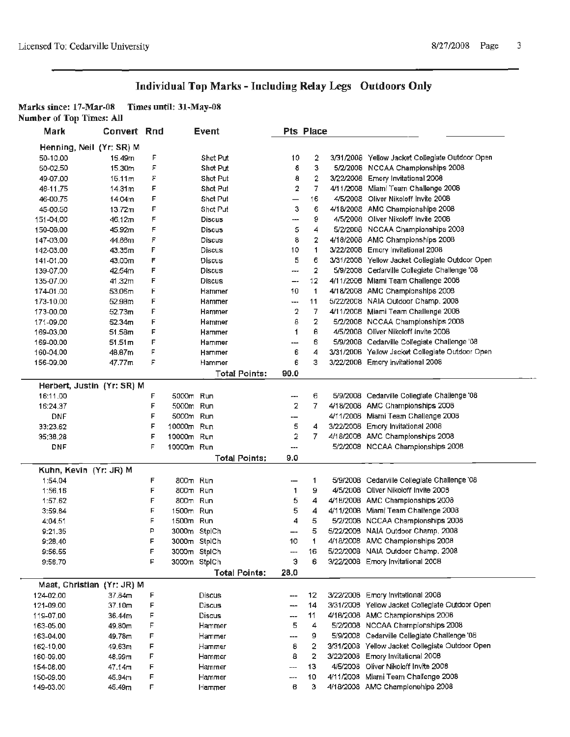## **Individual Top Marks** - **Including Relay Legs Outdoors Only**

#### **Marks since: 17-Mar-08 Times until: 31-May-08**

**Number of Top Times: All** 

| Mark       | <b>Convert Rnd</b>         |        |            | Event                |      | Pts Place |                                                                                   |
|------------|----------------------------|--------|------------|----------------------|------|-----------|-----------------------------------------------------------------------------------|
|            | Henning, Neil (Yr: SR) M   |        |            |                      |      |           |                                                                                   |
| 50-10.00   | 15.49m                     | F      |            | Shot Put             | 10   | 2         | 3/31/2008 Yellow Jacket Collegiate Outdoor Open                                   |
| 50-02.50   | 15,30m                     | F      |            | Shot Put             | 6    | 3         | 5/2/2008 NCCAA Championships 2008                                                 |
| 49-07.00   | 15.11 <sub>m</sub>         | F      |            | Shot Put             | θ    | 2         | 3/22/2008 Emory Invitational 2008                                                 |
| 46-11.75   | 14.31m                     | F      |            | Shot Put             | 2    | 7         | 4/11/2008 Miami Team Challenge 2008                                               |
| 46-00.75   | 14.04m                     | F      |            | Shot Put             | —    | 16        | 4/5/2008 Oliver Nikoloff Invite 2008                                              |
| 45-00.50   | 13.72m                     | F      |            | Shot Put             | з    | 6         | 4/18/2008 AMC Championships 2008                                                  |
| 151-04.00  | 46.12m                     | F      |            | <b>Discus</b>        | ---  | 9         | 4/5/2008 Oliver Nikoloff Invite 2008                                              |
| 150-08.00  | 45.92m                     | F      |            | <b>Discus</b>        | 5    | 4         | 5/2/2008 NCCAA Championships 2008                                                 |
| 147-03.00  | 44.88m                     | F      |            | Discus               | 8    | 2         | 4/18/2008 AMC Championships 2008                                                  |
| 142-03.00  | 43.35m                     | F      |            | Discus               | 10   | 1         | 3/22/2008 Emory Invitational 2008                                                 |
| 141-01.00  | 43.00m                     | F      |            | <b>Discus</b>        | 5    | 6         | 3/31/2008 Yellow Jacket Collegiate Outdoor Open                                   |
| 139-07.00  | 42.54m                     | F      |            | Discus               | ---  | 2         | 5/9/2008 Cedarville Collegiate Challenge '08                                      |
| 135-07.00  | 41.32m                     | F      |            | <b>Discus</b>        | --   | 12        | 4/11/2008 Miami Team Challenge 2008                                               |
| 174-01.00  | 53.06m                     | F      |            | Hammer               | 10   | 1         | 4/18/2008 AMC Championships 2008                                                  |
| 173-10.00  | 52.98m                     | F      |            | Hammer               | ---  | 11        | 5/22/2008 NAIA Outdoor Champ. 2008                                                |
| 173-00.00  | 52.73m                     | F      |            | Hammer               | 2    | 7         | 4/11/2008 Miami Team Challenge 2008                                               |
| 171-09.00  | 52.34m                     | F      |            | Hammer               | 8    | 2         | 5/2/2008 NCCAA Championships 2008                                                 |
| 169-03.00  | 51.58m                     | F      |            | Hammer               | 1    | 8         | 4/5/2008 Oliver Nikoloff Invite 2008                                              |
| 169-00.00  | 51.51 <sub>m</sub>         | F      |            | Hammer               | ---  | 6         | 5/9/2008 Cedarville Collegiate Challenge '08                                      |
| 160-04.00  | 46.67m                     | F      |            | Hammer               | 6    | 4         | 3/31/2006 Yellow Jacket Collegiate Outdoor Open                                   |
| 156-09.00  | 47.77m                     | F      |            | Hammer               | 6    | з         | 3/22/2006 Emory Invitational 2008                                                 |
|            |                            |        |            | Total Points:        | 90.0 |           |                                                                                   |
|            | Herbert, Justin (Yr: SR) M |        |            |                      |      |           |                                                                                   |
| 16:11.00   |                            | F      | 5000m Run  |                      | ---  | 6         | 5/9/2008 Cedarville Collegiate Challenge '08                                      |
| 16:24.37   |                            | F      | 5000m Run  |                      | 2    | 7         | 4/18/2008 AMC Championships 2008                                                  |
| <b>DNF</b> |                            | F      | 5000m Run  |                      | --   |           | 4/11/2008 Miami Team Challenge 2008                                               |
| 33:23.62   |                            | F      | 10000m Run |                      | 5    | 4         | 3/22/2008 Emory Invitational 2008                                                 |
| 35:38.28   |                            | F      | 10000m Run |                      | 2    | 7         | 4/18/2008 AMC Championships 2008                                                  |
| DNF        |                            | F      | 10000m Run |                      | ---  |           | 5/2/2008 NCCAA Championships 2008                                                 |
|            |                            |        |            | <b>Total Points;</b> | 9.0  |           |                                                                                   |
|            | Kuhn, Kevin (Yr: JR) M     |        |            |                      |      |           |                                                                                   |
| 1:54.04    |                            | F      | 800m Run   |                      | --   | 1         | 5/9/2008 Cedarville Collegiate Challenge '08                                      |
| 1:56.16    |                            | F      | 800m Run   |                      | 1    | 9         | 4/5/2008 Oliver Nikoloff Invite 2008                                              |
| 1:57.62    |                            | F      | 800m Run   |                      | 5    | 4         | 4/18/2008 AMC Championships 2008                                                  |
| 3:59.84    |                            | F      | 1500m Run  |                      | 5    | 4         | 4/11/2008 Miami Team Challenge 2008                                               |
| 4:04.51    |                            | F      | 1500m Run  |                      | 4    | 5         | 5/2/2008 NCCAA Championships 2008                                                 |
| 9:21.35    |                            | P      |            | 3000m StplCh         | --   | 5         | 5/22/2008 NAIA Outdoor Champ, 2008                                                |
| 9:28,40    |                            |        |            | 3000m StplCh         | 10   |           | 4/18/2008 AMC Championships 2008                                                  |
| 9:56.55    |                            | F      |            | 3000m StplCh         | ---  | 16        | 5/22/2008 NAIA Outdoor Champ. 2008                                                |
| 9:58.70    |                            | F      |            | 3000m StplCh         | Э    | 6         | 3/22/2008 Emory Invitational 2008                                                 |
|            |                            |        |            | <b>Total Points:</b> | 28.0 |           |                                                                                   |
|            | Maat, Christian (Yr: JR) M |        |            |                      |      |           | 3/22/2008 Emory Invitational 2008                                                 |
| 124-02.00  | 37.84m                     | F<br>F |            | Discus               |      | 12<br>14  | 3/31/2008 Yellow Jacket Collegiate Outdoor Open                                   |
| 121-09.00  | 37.10m                     |        |            | <b>Discus</b>        | ---  |           |                                                                                   |
| 119-07.00  | 36.44m                     | F<br>F |            | <b>Discus</b>        | ---  | 11        | 4/16/2008 AMC Championships 2008                                                  |
| 163-05.00  | 49.80m                     |        |            | Hammer               | 5    | 4         | 5/2/2008 NCCAA Championships 2008<br>5/9/2008 Cedarville Collegiate Challenge '08 |
| 163-04.00  | 49.78m                     | F      |            | Hammer               | ---  | 9         |                                                                                   |
| 162-10.00  | 49,63m                     | F      |            | Hammer               | 8    | 2         | 3/31/2008 Yellow Jacket Collegiate Outdoor Open                                   |
| 160-09.00  | 48.99m                     | F      |            | Hammer               | 8    | 2         | 3/22/2008 Emory Invitational 2008                                                 |
| 154-08.00  | 47.14m                     | F      |            | Hammer               | ---  | 13        | 4/5/2008 Oliver Nikoloff Invite 2008<br>4/11/2008 Miami Team Challenge 2008       |
| 150-09.00  | 45.94m                     | F      |            | Hammer               |      | 10        |                                                                                   |
| 149-03.00  | 45.49m                     | F      |            | Hammer               | 6    | з         | 4/18/2008 AMC Championships 2008                                                  |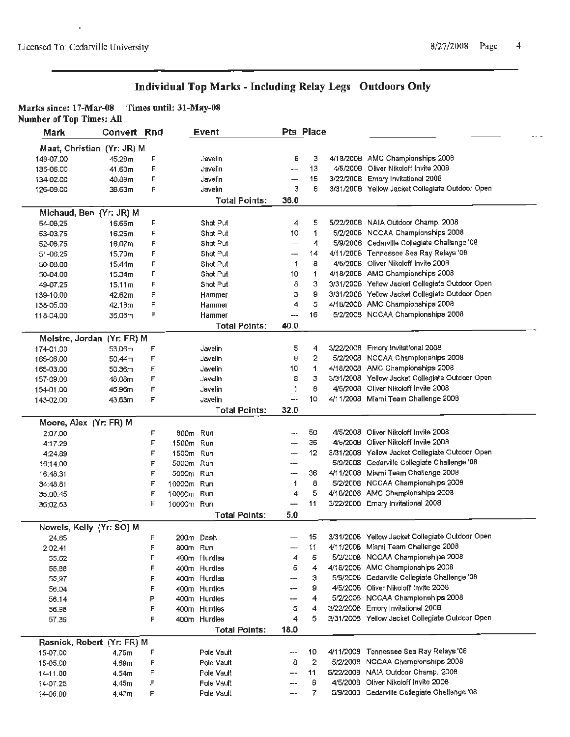l,

### **Individual Top Marks** - **Including Relay Legs Outdoors Only**

#### **Marks since: 17-Mar-08 Times until: Jl-May-08**

**Number of Top Times: All** 

| Mark                   | Convert Rnd                |   |            | Event                |        | Pts Place      |                                                 |
|------------------------|----------------------------|---|------------|----------------------|--------|----------------|-------------------------------------------------|
|                        | Maat, Christian (Yr: JR) M |   |            |                      |        |                |                                                 |
| 148-07.00              | 45.28m                     | F |            | Javelin              | 6      | з              | 4/18/2008 AMC Championships 2008                |
| 136-06.00              | 41.60m                     | F |            | Javelin              | ماميو  | 13             | 4/5/2008 Oliver Nikoloff Invite 2008            |
| 134-02.00              | 40.89m                     | F |            | Javelin              | --     | 15             | 3/22/2008 Emory Invitational 2008               |
| 126-09.00              | 38.63m                     | F |            | Javelin              | 3      | θ              | 3/31/2008 Yellow Jacket Collegiate Outdoor Open |
|                        |                            |   |            | <b>Total Points:</b> | 36.0   |                |                                                 |
|                        | Michaud, Ben (Yr: JR) M    |   |            |                      |        |                |                                                 |
| 54-08.25               | 16.66m                     | F |            | Shot Put             | 4      | 5              | 5/22/2008 NAIA Outdoor Champ, 2008              |
| 53-03.75               | 16.25m                     | F |            | Shot Put             | 10     | 1              | 5/2/2008 NCCAA Championships 2008               |
| 52-08.75               | 16.07m                     | F |            | Shot Put             | ---    | 4              | 5/9/2008 Cedarville Collegiate Challenge '08    |
| 51-06.25               | 15,70m                     | F |            | Shot Put             | ---    | 14             | 4/11/2008 Tennessee Sea Ray Relays '08          |
| 50-08.00               | 15.44m                     | F |            | Shot Put             | 1      | 8              | 4/5/2008 Oliver Nikoloff Invite 2008            |
| 50-04.00               | 15.34m                     | F |            | Shot Put             | 10     | 1              | 4/18/2008 AMC Championships 2008                |
| 49-07.25               | 15.11 <sub>m</sub>         | F |            | Shot Put             | 8      | 3              | 3/31/2008 Yellow Jacket Collegiate Outdoor Open |
| 139-10.00              | 42.62m                     | F |            | Hammer               | з      | 9              | 3/31/2008 Yellow Jacket Collegiate Outdoor Open |
| 138-05.00              | 42.18m                     | F |            | Hammer               | 4      | 5              | 4/16/2008 AMC Championships 2008                |
| 118-04.00              | 36.06m                     | F |            | Hammer               | ---    | 16             | 5/2/2008 NCCAA Championships 2008               |
|                        |                            |   |            | <b>Total Points:</b> | 40.0   |                |                                                 |
|                        | Molstre, Jordan (Yr: FR) M |   |            |                      |        |                |                                                 |
| 174-01.00              | 53,06m                     | F |            | Javelin              | 5      | 4              | 3/22/2008 Emory Invitational 2008               |
| 165-06.00              | 50.44m                     | F |            | Javelin              | 8      | 2              | 5/2/2008 NCCAA Championships 2008               |
| 165-03.00              | 50.36m                     | F |            | Javelin              | 10     | 1              | 4/18/2008 AMC Championships 2008                |
| 157-09.00              | 48,08m                     | F |            | Javelin              | 8      | 3              | 3/31/2008 Yellow Jacket Collegiate Outdoor Open |
| 154-01.00              | 46.96m                     | Е |            | Jayelin              | 1      | ₿              | 4/5/2008 Oliver Nikoloff Invite 2008            |
| 143-02.00              | 43.63m                     | F |            | Javelin              | ÷-     | 10             | 4/11/2008 Miami Team Challenge 2008             |
|                        |                            |   |            | <b>Total Points:</b> | 32.0   |                |                                                 |
| Moore, Alex (Yr: FR) M |                            |   |            |                      |        |                |                                                 |
| 2:07.00                |                            | F | 800m Run   |                      | wew    | 50             | 4/5/2008 Oliver Nikoloff Invite 2008            |
| 4:17.29                |                            | F | 1500m Run  |                      | --     | 35             | 4/5/2008 Oliver Nikoloff Invite 2008            |
| 4:24.89                |                            | F | 1500m Run  |                      | $\sim$ | 12             | 3/31/2008 Yellow Jacket Collegiate Outdoor Open |
| 16:14.00               |                            | F | 5000m Run  |                      | ---    |                | 5/9/2008 Cedarville Collegiate Challenge '08    |
| 16:48.31               |                            | F | 5000m Run  |                      | ---    | 36             | 4/11/2008 Miami Team Challenge 2008             |
| 34:48.81               |                            | F | 10000m Run |                      | 1      | 8              | 5/2/2008 NCCAA Championships 2008               |
| 35:00,45               |                            | F | 10000m Run |                      | 4      | 5              | 4/18/2008 AMC Championships 2008                |
| 35:02.63               |                            | F | 10000m Run |                      | ---    | 11             | 3/22/2008 Emory Invitational 2008               |
|                        |                            |   |            | <b>Total Points:</b> | 5.0    |                |                                                 |
|                        | Nowels, Kelly (Yr: SO) M   |   |            |                      |        |                |                                                 |
| 24.65                  |                            | F |            | 200m Dash            |        | 15             | 3/31/2008 Yellow Jacket Collegiate Outdoor Open |
| 2:02.41                |                            | ۶ | 800m Run   |                      | --     | 11             | 4/11/2008 Miami Team Challenge 2008             |
| 55.62                  |                            | F |            | 400m Hurdles         | 4      | 5              | 5/2/2008 NCCAA Championships 2008               |
| 55.88                  |                            | F |            | 400m Hurdles         | 5      | 4              | 4/18/2008 AMC Championships 2008                |
| 55,97                  |                            | F |            | 400m Hurdlas         | ---    | э              | 5/9/2008 Cedarville Collegiate Challenge '08    |
| 56,04                  |                            | F |            | 400m Hurdles         | ÷-     | 9              | 4/5/2008 Oliver Nikoloff Invite 2008            |
| 56.14                  |                            | P |            | 400m Hurdles         | --     | 4              | 5/2/2008 NCCAA Championships 2008               |
| 56.98                  |                            | F |            | 400m Hurdles         | 5      | 4              | 3/22/2008 Emory Invitational 2008               |
| 57.39                  |                            | F |            | 400m Hurdles         | 4      | 5              | 3/31/2008 Yellow Jacket Collegiate Outdoor Open |
|                        |                            |   |            | <b>Total Points:</b> | 18.0   |                |                                                 |
|                        | Rasnick, Robert (Yr: FR) M |   |            |                      |        |                |                                                 |
| 15-07.00               | 4.75m                      | F |            | Pole Vault           | ---    | 10             | 4/11/2008 Tennessee Sea Ray Relays '08          |
| 15-05.00               | 4.69m                      | F |            | Pole Vault           | 8      | 2              | 5/2/2008 NCCAA Championships 2008               |
| 14-11.00               | 4.54m                      | F |            | Pole Vault           | ---    | 11             | 5/22/2008 NAIA Outdoor Champ. 2008              |
| 14-07.25               | 4.45m                      | F |            | Pole Vault           | ---    | 9              | 4/5/2008 Oliver Nikoloff Invite 2008            |
| 14-06.00               | 4.42m                      | F |            | Pole Vault           | ---    | $\overline{7}$ | 5/9/2008 Cedarville Collegiate Challenge '08    |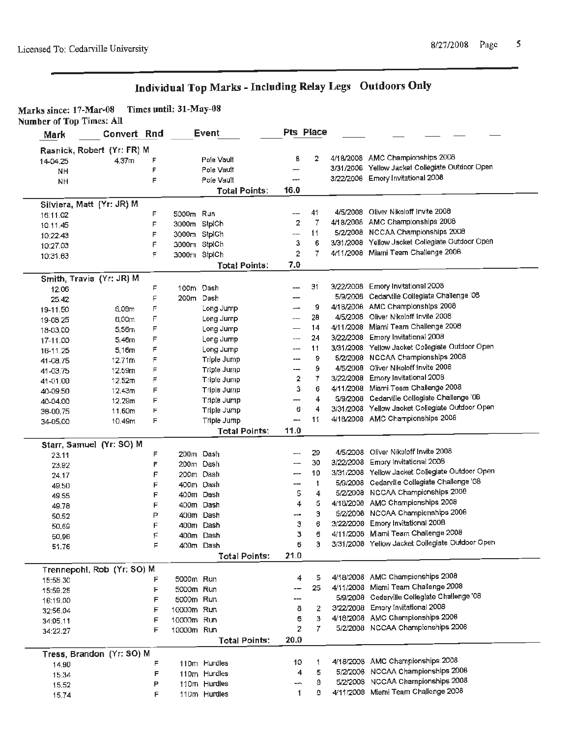# Individual Top Marks - Including Relay Legs Outdoors Only

| Marks since: 17-Mar-08          | Times until: 31-May-08 |
|---------------------------------|------------------------|
| <b>Number of Top Times: All</b> |                        |

| Mark           | Convert Rnd                |        |              | Event                        | Pts Place      |        |                                                                                      |
|----------------|----------------------------|--------|--------------|------------------------------|----------------|--------|--------------------------------------------------------------------------------------|
|                | Rasnick, Robert (Yr: FR) M |        |              |                              |                |        |                                                                                      |
| 14-04.25       | 4.37 <sub>m</sub>          | F      |              | Pole Vault                   | В              | 2      | 4/18/2008 AMC Championships 2008                                                     |
| NH             |                            | F      |              | Pole Vault                   | --             |        | 3/31/2008 Yellow Jacket Collegiate Outdoor Open                                      |
| <b>NH</b>      |                            | F      |              | Pole Vault                   | ---            |        | 3/22/2006 Emory Invitational 2008                                                    |
|                |                            |        |              | <b>Total Points:</b>         | 16.0           |        |                                                                                      |
|                | Silviera, Matt (Yr: JR) M  |        |              |                              |                |        |                                                                                      |
| 16:11.02       |                            | F      | 5000m Run    |                              | ---            | 41     | 4/5/2008 Oliver Nikoloff Invite 2008                                                 |
| 10:11.45       |                            | F      | 3000m StplCh |                              | $\overline{2}$ | 7      | 4/18/2008 AMC Championships 2008                                                     |
| 10:22.43       |                            | F      | 3000m StplCh |                              | ---            | 11     | 5/2/2008 NCCAA Championships 2008                                                    |
| 10:27.03       |                            | F      | 3000m StplCh |                              | з              | 6      | 3/31/2008 Yellow Jacket Collegiate Outdoor Open                                      |
| 10:31.63       |                            | F      | 3000m StplCh |                              | $\overline{2}$ | 7      | 4/11/2008 Miami Team Challenge 2008                                                  |
|                |                            |        |              | <b>Total Points:</b>         | 7.0            |        |                                                                                      |
|                | Smith, Travis (Yr: JR) M   |        |              |                              |                |        |                                                                                      |
| 12.06          |                            | F      | 100m Dash    |                              | ---            | 31     | 3/22/2008 Emory Invitational 2008                                                    |
| 25.42          |                            | F      | 200m Dash    |                              |                |        | 5/9/2008 Cedarville Collegiate Challenge '08                                         |
| 19-11.50       | 6,08m                      | F      |              | Long Jump                    | $-$            | g      | 4/18/2008 AMC Championships 2008                                                     |
| 19-08.25       | 6,00m                      | F      |              | Long Jump                    | ---            | 28     | 4/5/2008 Oliver Nikoloff Invite 2008                                                 |
| 18-03.00       | 5,56m                      | F      |              | Long Jump                    |                | 14     | 4/11/2008 Miami Team Challenge 2008                                                  |
| 17-11.00       | 5.46m                      | F      |              | Long Jump                    | ---            | 24     | 3/22/2008 Emory Invitational 2008                                                    |
| 16-11.25       | 5,16m                      | F      |              | Long Jump                    | ---            | 11     | 3/31/2008 Yellow Jacket Collegiate Outdoor Open                                      |
| 41-08.75       | 12.71m                     | F      |              | Triple Jump                  | ---            | 9      | 5/2/2008 NCCAA Championships 2008                                                    |
| 41-03.75       | 12.59m                     | F      |              | <b>Triple Jump</b>           | ---            | 9      | 4/5/2008 Oliver Nikoloff Invite 2008                                                 |
| 41-01.00       | 12.52m                     | F      |              | Triple Jump                  | 2              | 7      | 3/22/2008 Emory Invitational 2008                                                    |
| 40-09.50       | 12.43m                     | F      |              | Triple Jump                  | з              | 6      | 4/11/2008 Miami Team Challenge 2008                                                  |
| 40-04.00       | 12.29 <sub>m</sub>         | F      |              | Triple Jump                  | ---            | 4      | 5/9/2008 Cedarville Collegiate Challenge '08                                         |
| 38-00.75       | 11.60m                     | F      |              | Triple Jump                  | 6              | 4      | 3/31/2008 Yellow Jacket Collegiate Outdoor Open                                      |
| 34-05.00       | 10.49m                     | F      |              | Triple Jump                  | –−             | 11     | 4/18/2008 AMC Championships 2008                                                     |
|                |                            |        |              | <b>Total Points:</b>         | 11.0           |        |                                                                                      |
|                | Starr, Samuel (Yr: SO) M   |        |              |                              |                |        |                                                                                      |
| 23.11          |                            | F      |              | 200m Dash                    | ---            | 29     | 4/5/2008 Oliver Nikoloff Invite 2008                                                 |
| 23.92          |                            | F      |              | 200m Dash                    | ---            | 30     | 3/22/2008 Emory Invitational 2008<br>3/31/2008 Yellow Jacket Collegiate Outdoor Open |
| 24.17          |                            | F      | 200m Dash    |                              | ---            | 10     |                                                                                      |
| 49.50          |                            |        |              |                              |                |        |                                                                                      |
| 49.55          |                            | F      | 400m Dash    |                              | --             | 1      | 5/9/2008 Cedarville Collegiate Challenge '08                                         |
|                |                            | F      | 400m Dash    |                              | 5              | 4      | 5/2/2008 NCCAA Championships 2008                                                    |
| 49.78          |                            | F      |              | 400m Dash                    | 4              | 5      | 4/18/2008 AMC Championships 2008                                                     |
| 50.52          |                            | P      |              | 400m Dash                    | ---            | Э      | 5/2/2008 NCCAA Championships 2008                                                    |
| 50,69          |                            | F      | 400m         | Dash                         | Э              | 6      | 3/22/2008 Emory Invitational 2008                                                    |
| 50.96          |                            | F.     |              | 400m Dash                    | з              | 6      | 4/11/2008 Miami Team Challenge 2008                                                  |
| 51.76          |                            | F      |              | 400m Dash                    | 6              | э      | 3/31/2008 Yellow Jacket Collegiate Outdoor Open                                      |
|                |                            |        |              | <b>Total Points:</b>         | 21.0           |        |                                                                                      |
|                | Trennepohl, Rob (Yr: SO) M |        |              |                              |                |        |                                                                                      |
| 15:58.30       |                            | F      | 5000m Run    |                              | 4              | 5      | 4/18/2008 AMC Championships 2008                                                     |
| 15:59.26       |                            | F      | 5000m Run    |                              |                | 25     | 4/11/2008 Miami Team Challenge 2008                                                  |
| 16:19.00       |                            | F      | 5000m Run    |                              | ---            |        | 5/9/2008 Cedaryille Collegiate Challenge '08                                         |
| 32:56.04       |                            | F      | 10000m Run   |                              | 8              | 2      | 3/22/2008 Emory Invitational 2008                                                    |
| 34:05.11       |                            | F      | 10000m Run   |                              | 6              | 3      | 4/18/2008 AMC Championships 2008                                                     |
| 34:22.27       |                            | F      | 10000m Run   |                              | 2              | 7.     | 5/2/2008 NCCAA Championships 2008                                                    |
|                |                            |        |              | <b>Total Points:</b>         | 20.0           |        |                                                                                      |
|                | Tress, Brandon (Yr: SO) M  |        |              |                              |                |        |                                                                                      |
| 14.90          |                            | F      |              | 110m Hurdles                 | 10             | 1      | 4/18/2008 AMC Championships 2008                                                     |
| 15.34<br>15,52 |                            | F<br>P |              | 110m Hurdles<br>110m Hurdles | 4<br>⊷         | 5<br>8 | 5/2/2006 NCCAA Championships 2006<br>5/2/2008 NCCAA Championships 2008               |